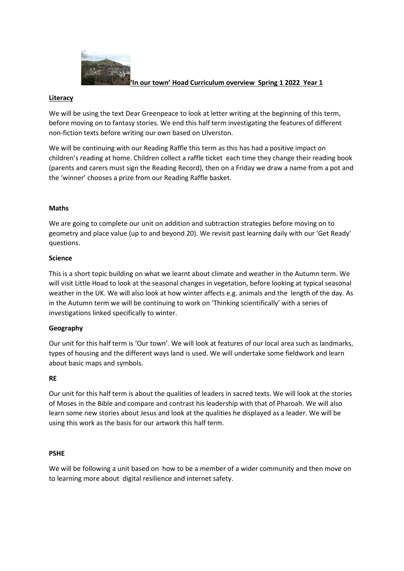

### **'In our town' Hoad Curriculum overview Spring 1 2022 Year 1**

# **Literacy**

We will be using the text Dear Greenpeace to look at letter writing at the beginning of this term, before moving on to fantasy stories. We end this half term investigating the features of different non-fiction texts before writing our own based on Ulverston.

We will be continuing with our Reading Raffle this term as this has had a positive impact on children's reading at home. Children collect a raffle ticket each time they change their reading book (parents and carers must sign the Reading Record), then on a Friday we draw a name from a pot and the 'winner' chooses a prize from our Reading Raffle basket.

# **Maths**

We are going to complete our unit on addition and subtraction strategies before moving on to geometry and place value (up to and beyond 20). We revisit past learning daily with our 'Get Ready' questions.

### **Science**

This is a short topic building on what we learnt about climate and weather in the Autumn term. We will visit Little Hoad to look at the seasonal changes in vegetation, before looking at typical seasonal weather in the UK. We will also look at how winter affects e.g. animals and the length of the day. As in the Autumn term we will be continuing to work on 'Thinking scientifically' with a series of investigations linked specifically to winter.

# **Geography**

Our unit for this half term is 'Our town'. We will look at features of our local area such as landmarks, types of housing and the different ways land is used. We will undertake some fieldwork and learn about basic maps and symbols.

### **RE**

Our unit for this half term is about the qualities of leaders in sacred texts. We will look at the stories of Moses in the Bible and compare and contrast his leadership with that of Pharoah. We will also learn some new stories about Jesus and look at the qualities he displayed as a leader. We will be using this work as the basis for our artwork this half term.

### **PSHE**

We will be following a unit based on how to be a member of a wider community and then move on to learning more about digital resilience and internet safety.